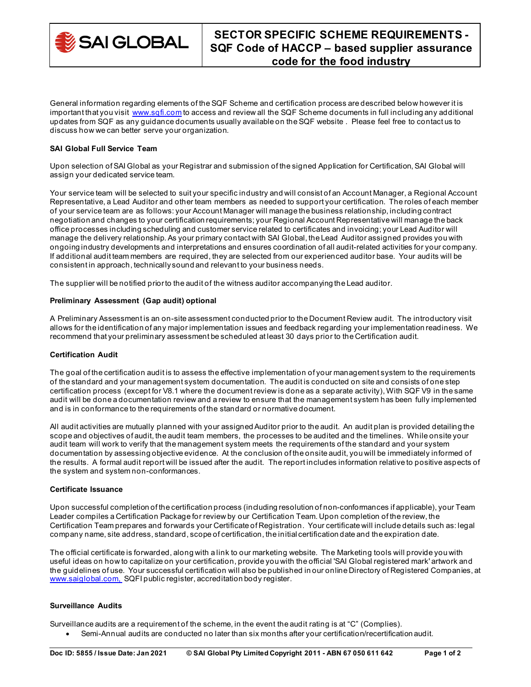

General information regarding elements of the SQF Scheme and certification process are described below however it is important that you visit [www.sqfi.com](http://www.sqfi.com/) to access and review all the SQF Scheme documents in full including any additional updates from SQF as any guidance documents usually available on the SQF website . Please feel free to contact us to discuss how we can better serve your organization.

## **SAI Global Full Service Team**

Upon selection of SAI Global as your Registrar and submission of the signed Application for Certification, SAI Global will assign your dedicated service team.

Your service team will be selected to suit your specific industry and will consist of an Account Manager, a Regional Account Representative, a Lead Auditor and other team members as needed to support your certification. The roles of each member of your service team are as follows: your Account Manager will manage the business relationship, including contract negotiation and changes to your certification requirements; your Regional Account Representative will manage the back office processes including scheduling and customer service related to certificates and invoicing; your Lead Auditor will manage the delivery relationship. As your primary contact with SAI Global, the Lead Auditor assigned provides you with ongoing industry developments and interpretations and ensures coordination of all audit-related activities for your company. If additional audit team members are required, they are selected from our experienced auditor base. Your audits will be consistent in approach, technically sound and relevant to your business needs.

The supplier will be notified prior to the audit of the witness auditor accompanying the Lead auditor.

## **Preliminary Assessment (Gap audit) optional**

A Preliminary Assessment is an on-site assessment conducted prior to the Document Review audit. The introductory visit allows for the identification of any major implementation issues and feedback regarding your implementation readiness. We recommend that your preliminary assessment be scheduled at least 30 days prior to the Certification audit.

#### **Certification Audit**

The goal of the certification audit is to assess the effective implementation of your management system to the requirements of the standard and your management system documentation. The audit is conducted on site and consists of one step certification process (except for V8.1 where the document review is done as a separate activity), With SQF V9 in the same audit will be done a documentation review and a review to ensure that the management system has been fully implemented and is in conformance to the requirements of the standard or normative document.

All audit activities are mutually planned with your assigned Auditor prior to the audit. An audit plan is provided detailing the scope and objectives of audit, the audit team members, the processes to be audited and the timelines. While onsite your audit team will work to verify that the management system meets the requirements of the standard and your system documentation by assessing objective evidence. At the conclusion of the onsite audit, you will be immediately informed of the results. A formal audit report will be issued after the audit. The report includes information relative to positive aspects of the system and system non-conformances.

#### **Certificate Issuance**

Upon successful completion of the certification process (including resolution of non-conformances if applicable), your Team Leader compiles a Certification Package for review by our Certification Team. Upon completion of the review, the Certification Team prepares and forwards your Certificate of Registration. Your certificate will include details such as: legal company name, site address, standard, scope of certification, the initial certification date and the expiration date.

The official certificate is forwarded, along with a link to our marketing website. The Marketing tools will provide you with useful ideas on how to capitalize on your certification, provide you with the official 'SAI Global registered mark' artwork and the guidelines of use. Your successful certification will also be published in our online Directory of Registered Companies, at [www.saiglobal.com,](http://www.saiglobal.com/) SQFI public register, accreditation body register.

# **Surveillance Audits**

Surveillance audits are a requirement of the scheme, in the event the audit rating is at "C" (Complies).

• Semi-Annual audits are conducted no later than six months after your certification/recertification audit.